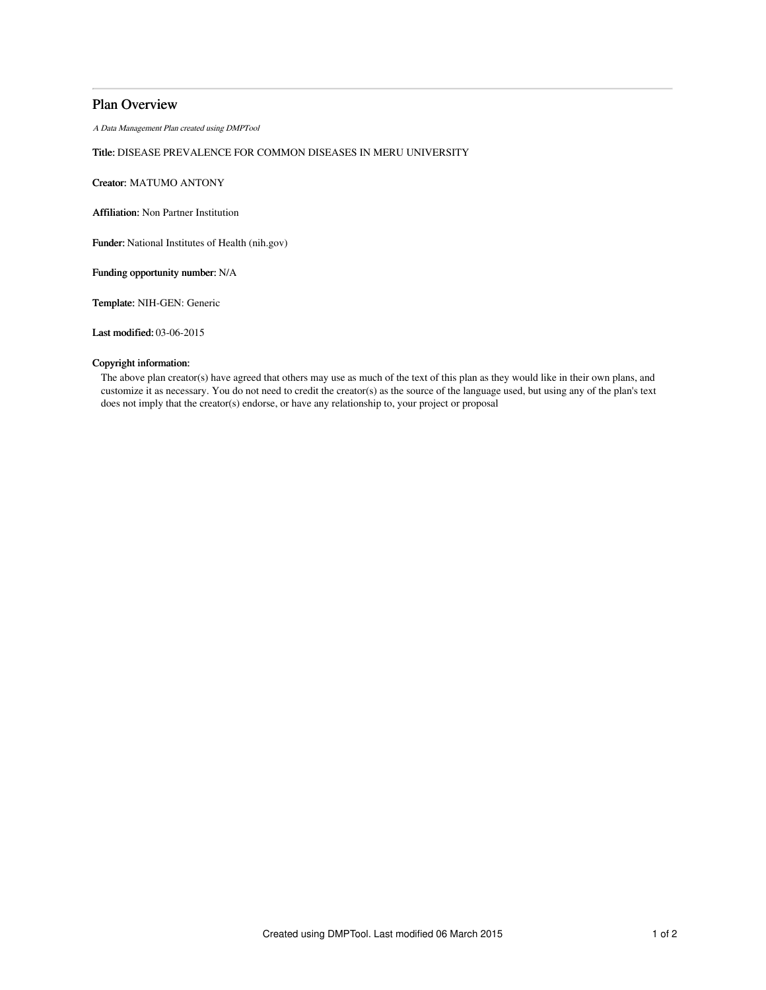# Plan Overview

A Data Management Plan created using DMPTool

## Title: DISEASE PREVALENCE FOR COMMON DISEASES IN MERU UNIVERSITY

Creator: MATUMO ANTONY

Affiliation: Non Partner Institution

Funder: National Institutes of Health (nih.gov)

Funding opportunity number: N/A

Template: NIH-GEN: Generic

Last modified: 03-06-2015

### Copyright information:

The above plan creator(s) have agreed that others may use as much of the text of this plan as they would like in their own plans, and customize it as necessary. You do not need to credit the creator(s) as the source of the language used, but using any of the plan's text does not imply that the creator(s) endorse, or have any relationship to, your project or proposal